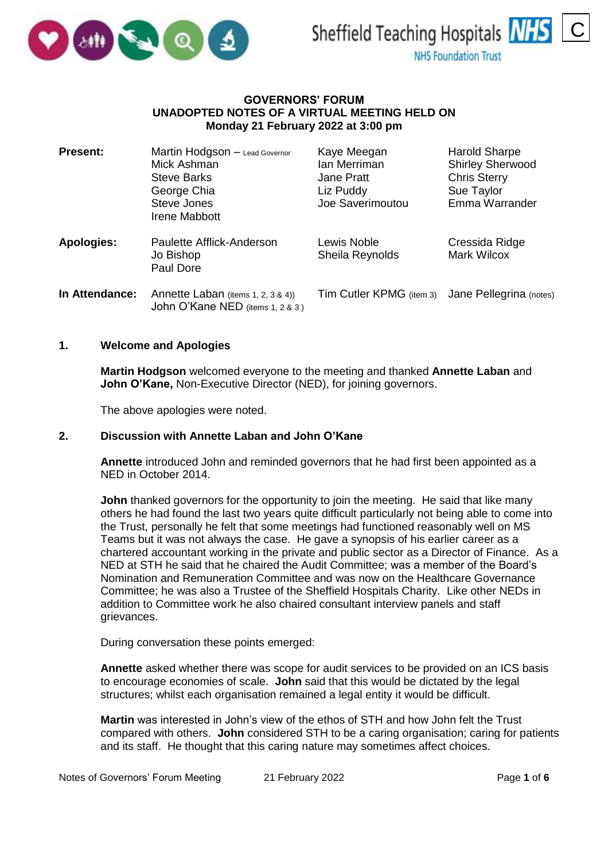



### **GOVERNORS' FORUM UNADOPTED NOTES OF A VIRTUAL MEETING HELD ON Monday 21 February 2022 at 3:00 pm**

| <b>Present:</b>   | Martin Hodgson - Lead Governor<br>Mick Ashman<br><b>Steve Barks</b><br>George Chia<br>Steve Jones<br>Irene Mabbott | Kaye Meegan<br>Ian Merriman<br>Jane Pratt<br>Liz Puddy<br>Joe Saverimoutou | <b>Harold Sharpe</b><br><b>Shirley Sherwood</b><br><b>Chris Sterry</b><br>Sue Taylor<br>Emma Warrander |
|-------------------|--------------------------------------------------------------------------------------------------------------------|----------------------------------------------------------------------------|--------------------------------------------------------------------------------------------------------|
| <b>Apologies:</b> | Paulette Afflick-Anderson<br>Jo Bishop<br>Paul Dore                                                                | Lewis Noble<br>Sheila Reynolds                                             | Cressida Ridge<br>Mark Wilcox                                                                          |
| In Attendance:    | Annette Laban (items 1, 2, 3 & 4))<br>John O'Kane NED (items 1, 2 & 3)                                             | Tim Cutler KPMG (item 3) Jane Pellegrina (notes)                           |                                                                                                        |

### **1. Welcome and Apologies**

**Martin Hodgson** welcomed everyone to the meeting and thanked **Annette Laban** and **John O'Kane,** Non-Executive Director (NED), for joining governors.

The above apologies were noted.

### **2. Discussion with Annette Laban and John O'Kane**

**Annette** introduced John and reminded governors that he had first been appointed as a NED in October 2014.

**John** thanked governors for the opportunity to join the meeting. He said that like many others he had found the last two years quite difficult particularly not being able to come into the Trust, personally he felt that some meetings had functioned reasonably well on MS Teams but it was not always the case. He gave a synopsis of his earlier career as a chartered accountant working in the private and public sector as a Director of Finance. As a NED at STH he said that he chaired the Audit Committee; was a member of the Board's Nomination and Remuneration Committee and was now on the Healthcare Governance Committee; he was also a Trustee of the Sheffield Hospitals Charity. Like other NEDs in addition to Committee work he also chaired consultant interview panels and staff grievances.

During conversation these points emerged:

**Annette** asked whether there was scope for audit services to be provided on an ICS basis to encourage economies of scale. **John** said that this would be dictated by the legal structures; whilst each organisation remained a legal entity it would be difficult.

**Martin** was interested in John's view of the ethos of STH and how John felt the Trust compared with others. **John** considered STH to be a caring organisation; caring for patients and its staff. He thought that this caring nature may sometimes affect choices.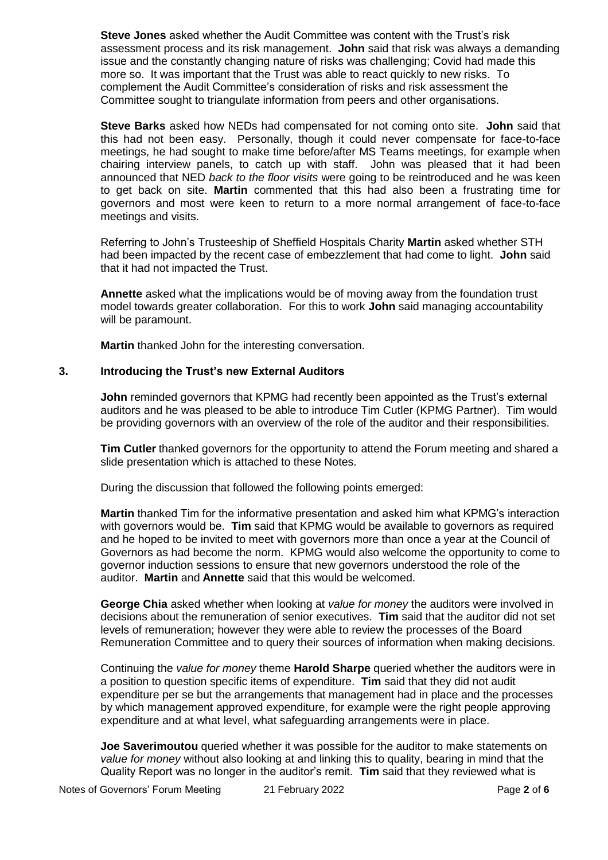**Steve Jones** asked whether the Audit Committee was content with the Trust's risk assessment process and its risk management. **John** said that risk was always a demanding issue and the constantly changing nature of risks was challenging; Covid had made this more so. It was important that the Trust was able to react quickly to new risks. To complement the Audit Committee's consideration of risks and risk assessment the Committee sought to triangulate information from peers and other organisations.

**Steve Barks** asked how NEDs had compensated for not coming onto site. **John** said that this had not been easy. Personally, though it could never compensate for face-to-face meetings, he had sought to make time before/after MS Teams meetings, for example when chairing interview panels, to catch up with staff. John was pleased that it had been announced that NED *back to the floor visits* were going to be reintroduced and he was keen to get back on site. **Martin** commented that this had also been a frustrating time for governors and most were keen to return to a more normal arrangement of face-to-face meetings and visits.

Referring to John's Trusteeship of Sheffield Hospitals Charity **Martin** asked whether STH had been impacted by the recent case of embezzlement that had come to light. **John** said that it had not impacted the Trust.

**Annette** asked what the implications would be of moving away from the foundation trust model towards greater collaboration. For this to work **John** said managing accountability will be paramount.

**Martin** thanked John for the interesting conversation.

## **3. Introducing the Trust's new External Auditors**

**John** reminded governors that KPMG had recently been appointed as the Trust's external auditors and he was pleased to be able to introduce Tim Cutler (KPMG Partner). Tim would be providing governors with an overview of the role of the auditor and their responsibilities.

**Tim Cutler** thanked governors for the opportunity to attend the Forum meeting and shared a slide presentation which is attached to these Notes.

During the discussion that followed the following points emerged:

**Martin** thanked Tim for the informative presentation and asked him what KPMG's interaction with governors would be. **Tim** said that KPMG would be available to governors as required and he hoped to be invited to meet with governors more than once a year at the Council of Governors as had become the norm. KPMG would also welcome the opportunity to come to governor induction sessions to ensure that new governors understood the role of the auditor. **Martin** and **Annette** said that this would be welcomed.

**George Chia** asked whether when looking at *value for money* the auditors were involved in decisions about the remuneration of senior executives. **Tim** said that the auditor did not set levels of remuneration; however they were able to review the processes of the Board Remuneration Committee and to query their sources of information when making decisions.

Continuing the *value for money* theme **Harold Sharpe** queried whether the auditors were in a position to question specific items of expenditure. **Tim** said that they did not audit expenditure per se but the arrangements that management had in place and the processes by which management approved expenditure, for example were the right people approving expenditure and at what level, what safeguarding arrangements were in place.

**Joe Saverimoutou** queried whether it was possible for the auditor to make statements on *value for money* without also looking at and linking this to quality, bearing in mind that the Quality Report was no longer in the auditor's remit. **Tim** said that they reviewed what is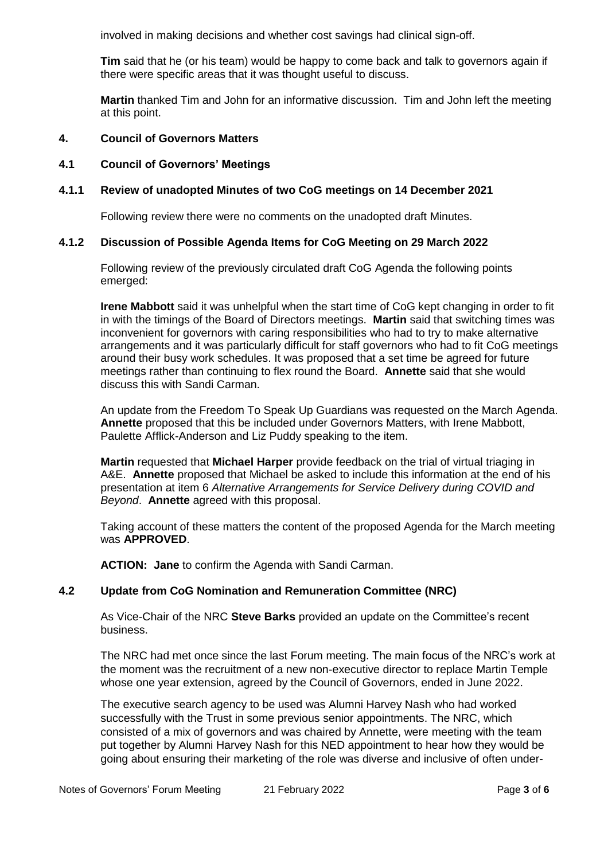involved in making decisions and whether cost savings had clinical sign-off.

**Tim** said that he (or his team) would be happy to come back and talk to governors again if there were specific areas that it was thought useful to discuss.

**Martin** thanked Tim and John for an informative discussion. Tim and John left the meeting at this point.

## **4. Council of Governors Matters**

# **4.1 Council of Governors' Meetings**

## **4.1.1 Review of unadopted Minutes of two CoG meetings on 14 December 2021**

Following review there were no comments on the unadopted draft Minutes.

## **4.1.2 Discussion of Possible Agenda Items for CoG Meeting on 29 March 2022**

Following review of the previously circulated draft CoG Agenda the following points emerged:

**Irene Mabbott** said it was unhelpful when the start time of CoG kept changing in order to fit in with the timings of the Board of Directors meetings. **Martin** said that switching times was inconvenient for governors with caring responsibilities who had to try to make alternative arrangements and it was particularly difficult for staff governors who had to fit CoG meetings around their busy work schedules. It was proposed that a set time be agreed for future meetings rather than continuing to flex round the Board. **Annette** said that she would discuss this with Sandi Carman.

An update from the Freedom To Speak Up Guardians was requested on the March Agenda. **Annette** proposed that this be included under Governors Matters, with Irene Mabbott, Paulette Afflick-Anderson and Liz Puddy speaking to the item.

**Martin** requested that **Michael Harper** provide feedback on the trial of virtual triaging in A&E. **Annette** proposed that Michael be asked to include this information at the end of his presentation at item 6 *Alternative Arrangements for Service Delivery during COVID and Beyond*. **Annette** agreed with this proposal.

Taking account of these matters the content of the proposed Agenda for the March meeting was **APPROVED**.

**ACTION: Jane** to confirm the Agenda with Sandi Carman.

### **4.2 Update from CoG Nomination and Remuneration Committee (NRC)**

As Vice-Chair of the NRC **Steve Barks** provided an update on the Committee's recent business.

The NRC had met once since the last Forum meeting. The main focus of the NRC's work at the moment was the recruitment of a new non-executive director to replace Martin Temple whose one year extension, agreed by the Council of Governors, ended in June 2022.

The executive search agency to be used was Alumni Harvey Nash who had worked successfully with the Trust in some previous senior appointments. The NRC, which consisted of a mix of governors and was chaired by Annette, were meeting with the team put together by Alumni Harvey Nash for this NED appointment to hear how they would be going about ensuring their marketing of the role was diverse and inclusive of often under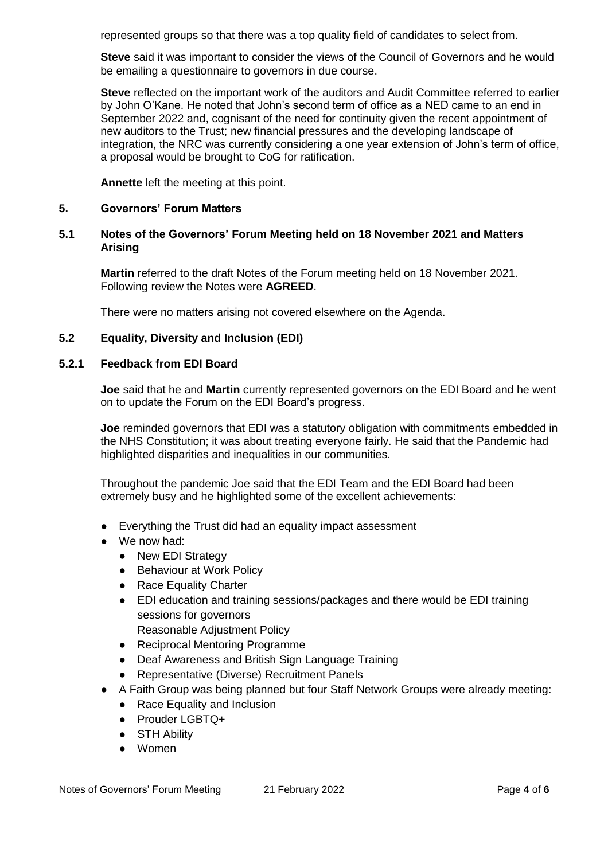represented groups so that there was a top quality field of candidates to select from.

**Steve** said it was important to consider the views of the Council of Governors and he would be emailing a questionnaire to governors in due course.

**Steve** reflected on the important work of the auditors and Audit Committee referred to earlier by John O'Kane. He noted that John's second term of office as a NED came to an end in September 2022 and, cognisant of the need for continuity given the recent appointment of new auditors to the Trust; new financial pressures and the developing landscape of integration, the NRC was currently considering a one year extension of John's term of office, a proposal would be brought to CoG for ratification.

**Annette** left the meeting at this point.

## **5. Governors' Forum Matters**

## **5.1 Notes of the Governors' Forum Meeting held on 18 November 2021 and Matters Arising**

**Martin** referred to the draft Notes of the Forum meeting held on 18 November 2021. Following review the Notes were **AGREED**.

There were no matters arising not covered elsewhere on the Agenda.

#### **5.2 Equality, Diversity and Inclusion (EDI)**

#### **5.2.1 Feedback from EDI Board**

**Joe** said that he and **Martin** currently represented governors on the EDI Board and he went on to update the Forum on the EDI Board's progress.

**Joe** reminded governors that EDI was a statutory obligation with commitments embedded in the NHS Constitution; it was about treating everyone fairly. He said that the Pandemic had highlighted disparities and inequalities in our communities.

Throughout the pandemic Joe said that the EDI Team and the EDI Board had been extremely busy and he highlighted some of the excellent achievements:

- Everything the Trust did had an equality impact assessment
- We now had:
	- New EDI Strategy
	- Behaviour at Work Policy
	- Race Equality Charter
	- EDI education and training sessions/packages and there would be EDI training sessions for governors
		- Reasonable Adjustment Policy
	- Reciprocal Mentoring Programme
	- Deaf Awareness and British Sign Language Training
	- Representative (Diverse) Recruitment Panels
- A Faith Group was being planned but four Staff Network Groups were already meeting:
	- Race Equality and Inclusion
	- Prouder LGBTQ+
	- STH Ability
	- Women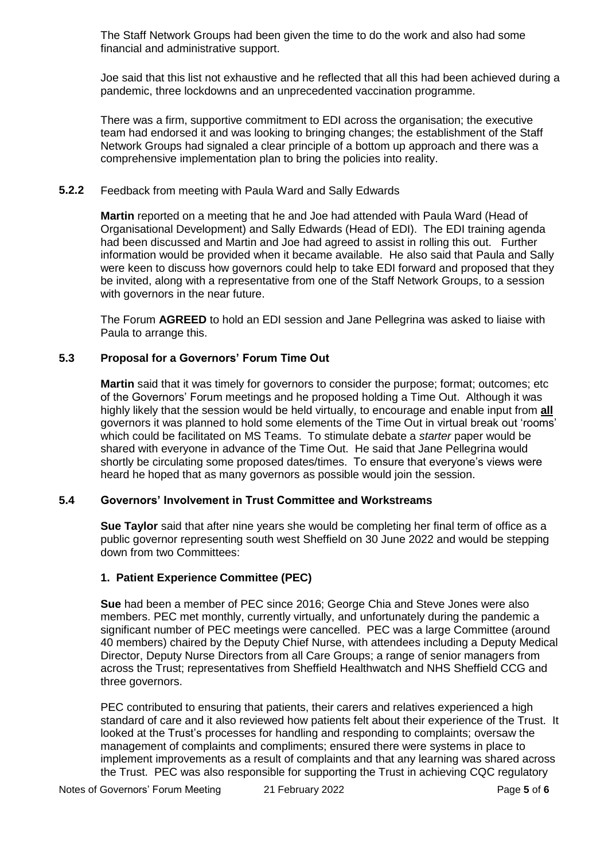The Staff Network Groups had been given the time to do the work and also had some financial and administrative support.

Joe said that this list not exhaustive and he reflected that all this had been achieved during a pandemic, three lockdowns and an unprecedented vaccination programme.

There was a firm, supportive commitment to EDI across the organisation; the executive team had endorsed it and was looking to bringing changes; the establishment of the Staff Network Groups had signaled a clear principle of a bottom up approach and there was a comprehensive implementation plan to bring the policies into reality.

### **5.2.2** Feedback from meeting with Paula Ward and Sally Edwards

**Martin** reported on a meeting that he and Joe had attended with Paula Ward (Head of Organisational Development) and Sally Edwards (Head of EDI). The EDI training agenda had been discussed and Martin and Joe had agreed to assist in rolling this out. Further information would be provided when it became available. He also said that Paula and Sally were keen to discuss how governors could help to take EDI forward and proposed that they be invited, along with a representative from one of the Staff Network Groups, to a session with governors in the near future.

The Forum **AGREED** to hold an EDI session and Jane Pellegrina was asked to liaise with Paula to arrange this.

## **5.3 Proposal for a Governors' Forum Time Out**

**Martin** said that it was timely for governors to consider the purpose; format; outcomes; etc of the Governors' Forum meetings and he proposed holding a Time Out. Although it was highly likely that the session would be held virtually, to encourage and enable input from **all**  governors it was planned to hold some elements of the Time Out in virtual break out 'rooms' which could be facilitated on MS Teams. To stimulate debate a *starter* paper would be shared with everyone in advance of the Time Out. He said that Jane Pellegrina would shortly be circulating some proposed dates/times. To ensure that everyone's views were heard he hoped that as many governors as possible would join the session.

# **5.4 Governors' Involvement in Trust Committee and Workstreams**

**Sue Taylor** said that after nine years she would be completing her final term of office as a public governor representing south west Sheffield on 30 June 2022 and would be stepping down from two Committees:

## **1. Patient Experience Committee (PEC)**

**Sue** had been a member of PEC since 2016; George Chia and Steve Jones were also members. PEC met monthly, currently virtually, and unfortunately during the pandemic a significant number of PEC meetings were cancelled. PEC was a large Committee (around 40 members) chaired by the Deputy Chief Nurse, with attendees including a Deputy Medical Director, Deputy Nurse Directors from all Care Groups; a range of senior managers from across the Trust; representatives from Sheffield Healthwatch and NHS Sheffield CCG and three governors.

PEC contributed to ensuring that patients, their carers and relatives experienced a high standard of care and it also reviewed how patients felt about their experience of the Trust. It looked at the Trust's processes for handling and responding to complaints; oversaw the management of complaints and compliments; ensured there were systems in place to implement improvements as a result of complaints and that any learning was shared across the Trust. PEC was also responsible for supporting the Trust in achieving CQC regulatory